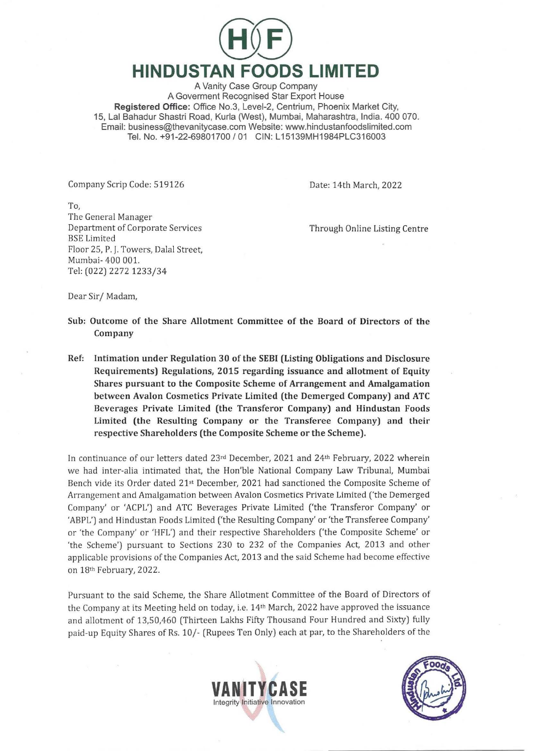

A Vanity Case Group Company A Goverment Recognised Star Export House Registered Office: Office No.3, Level-2, Centrium, Phoenix Market City, 15, Lal Bahadur Shastri Road, Kurla (West), Mumbai, Maharashtra, India. 400 070. Email: business@thevanitycase.com Website: www.hindustanfoodslimited.com Tel. No. +91-22-69801700 / 01 CIN: L15139MH1984PLC316003

Company Scrip Code: 519126

Date: 14th March, 2022

To, The General Manager Department of Corporate Services BSE Limited Floor 25, P. j. Towers, Dalal Street, Mumbai- 400 001. Tel: (022) 2272 1233/34

Through Online Listing Centre

Dear Sir/ Madam,

- Sub: Outcome of the Share Allotment Committee of the Board of Directors of the Company
- Ref: Intimation under Regulation 30 of the SEBI (Listing Obligations and Disclosure Requirements) Regulations, 2015 regarding issuance and allotment of Equity Shares pursuant to the Composite Scheme of Arrangement and Amalgamation between Avalon Cosmetics Private Limited (the Demerged Company) and ATC Beverages Private Limited (the Transferor Company) and Hindustan Foods Limited (the Resulting Company or the Transferee Company) and their respective Shareholders (the Composite Scheme or the Scheme).

In continuance of our letters dated  $23<sup>rd</sup>$  December, 2021 and  $24<sup>th</sup>$  February, 2022 wherein we had inter-alia intimated that, the Hon'ble National Company Law Tribunal, Mumbai Bench vide its Order dated 21st December, 2021 had sanctioned the Composite Scheme of Arrangement and Amalgamation between Avalon Cosmetics Private Limited ('the Demerged Company' or 'ACPL') and ATC Beverages Private Limited ('the Transferor Company' or 'ABPL') and Hindustan Foods Limited ('the Resulting Company' or 'the Transferee Company' or 'the Company' or 'HFL') a nd their respective Shareholders ('the Composite Scheme' or 'the Scheme') pursuant to Sections 230 to 232 of the Companies Act, 2013 and other applicable provisions of the Companies Act, 2013 and the said Scheme had become effective on 18th February, 2022.

Pursuant to the said Scheme, the Share Allotment Committee of the Board of Directors of the Company at its Meeting held on today, i.e. 14<sup>th</sup> March, 2022 have approved the issuance and allotment of 13,50,460 (Thirteen Lakhs Fifty Thousand Four Hundred and Sixty) fully paid-up Equity Shares of Rs. 10/- (Rupees Ten Only) each at par, to the Shareholders of the